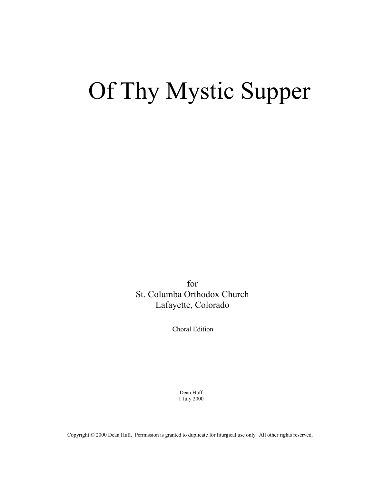## Of Thy Mystic Supper

for St. Columba Orthodox Church Lafayette, Colorado

Choral Edition

Dean Huff 1 July 2000

Copyright © 2000 Dean Huff. Permission is granted to duplicate for liturgical use only. All other rights reserved.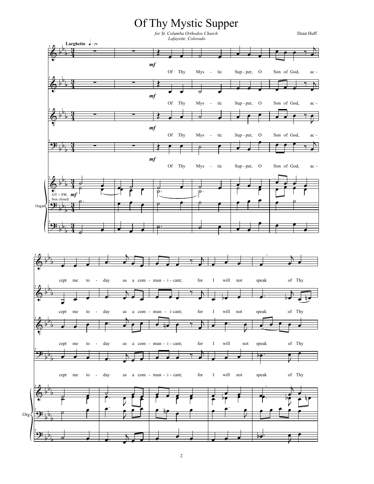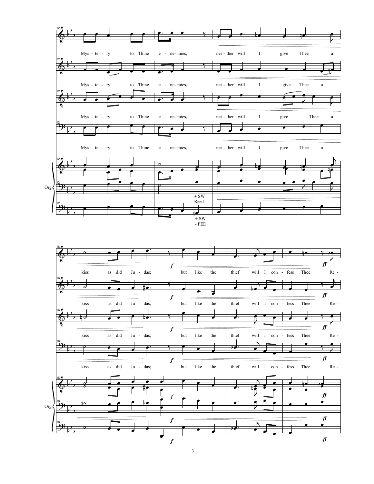

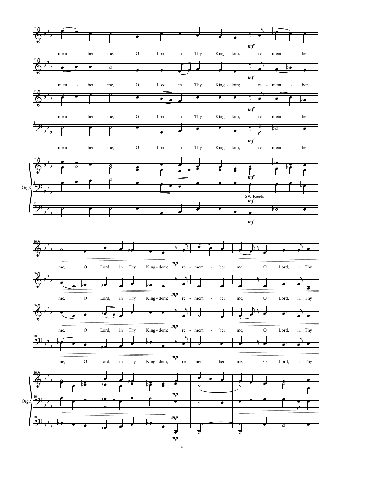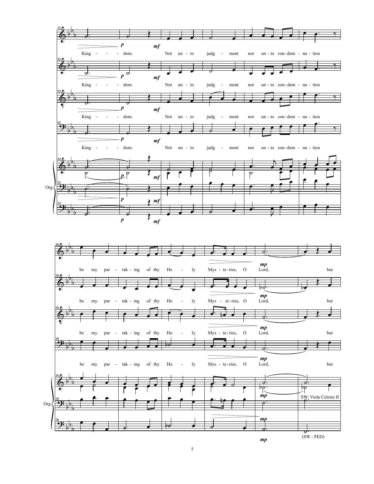